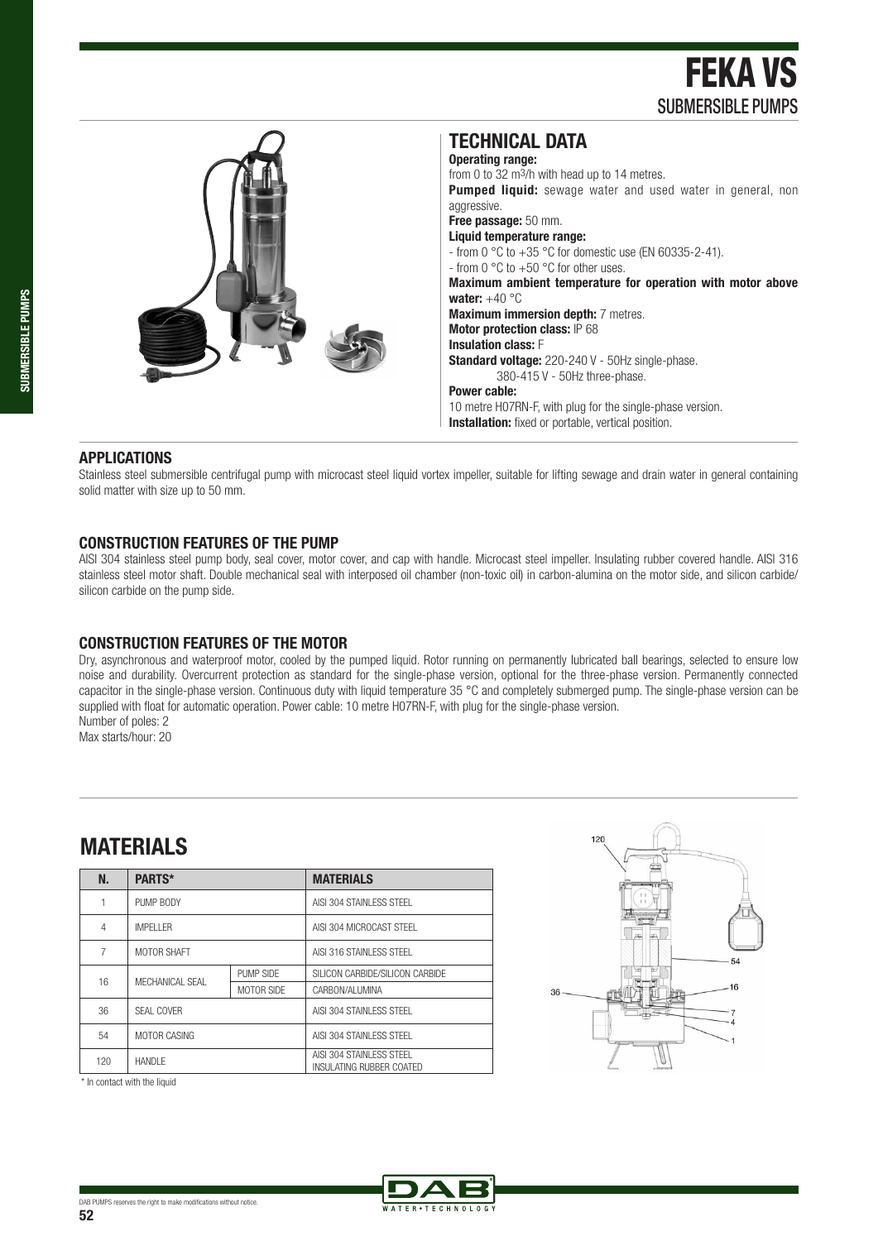FEKA VS SUBMERSIBLE PUMPS



#### **APPLICATIONS**

Stainless steel submersible centrifugal pump with microcast steel liquid vortex impeller, suitable for lifting sewage and drain water in general containing solid matter with size up to 50 mm.

#### **CONSTRUCTION FEATURES OF THE PUMP**

AISI 304 stainless steel pump body, seal cover, motor cover, and cap with handle. Microcast steel impeller. Insulating rubber covered handle. AISI 316 stainless steel motor shaft. Double mechanical seal with interposed oil chamber (non-toxic oil) in carbon-alumina on the motor side, and silicon carbide/ silicon carbide on the pump side.

#### **CONSTRUCTION FEATURES OF THE MOTOR**

Dry, asynchronous and waterproof motor, cooled by the pumped liquid. Rotor running on permanently lubricated ball bearings, selected to ensure low noise and durability. Overcurrent protection as standard for the single-phase version, optional for the three-phase version. Permanently connected capacitor in the single-phase version. Continuous duty with liquid temperature 35  $\degree$ C and completely submerged pump. The single-phase version can be supplied with float for automatic operation. Power cable: 10 metre H07RN-F, with plug for the single-phase version. Number of poles: 2

Max starts/hour: 20

## **MATERIALS**

| N.  | PARTS*            |            | <b>MATERIALS</b>                                             |  |  |  |  |
|-----|-------------------|------------|--------------------------------------------------------------|--|--|--|--|
|     | PUMP BODY         |            | AISI 304 STAINI FSS STFFL                                    |  |  |  |  |
| 4   | <b>IMPFI I FR</b> |            | AISI 304 MICROCAST STFFL                                     |  |  |  |  |
| 7   | MOTOR SHAFT       |            | AISI 316 STAINI FSS STFFL                                    |  |  |  |  |
| 16  | MFCHANICAL SFAL   | PUMP SIDE  | SILICON CARBIDE/SILICON CARBIDE                              |  |  |  |  |
|     |                   | MOTOR SIDE | CARBON/AI UMINA                                              |  |  |  |  |
| 36  | SFAI COVER        |            | AISI 304 STAINI FSS STFFL                                    |  |  |  |  |
| 54  | MOTOR CASING      |            | AISI 304 STAINI FSS STFFL                                    |  |  |  |  |
| 120 | <b>HANDIF</b>     |            | AISI 304 STAINI FSS STFFL<br><b>INSULATING RUBBER COATED</b> |  |  |  |  |



\* In contact with the liquid

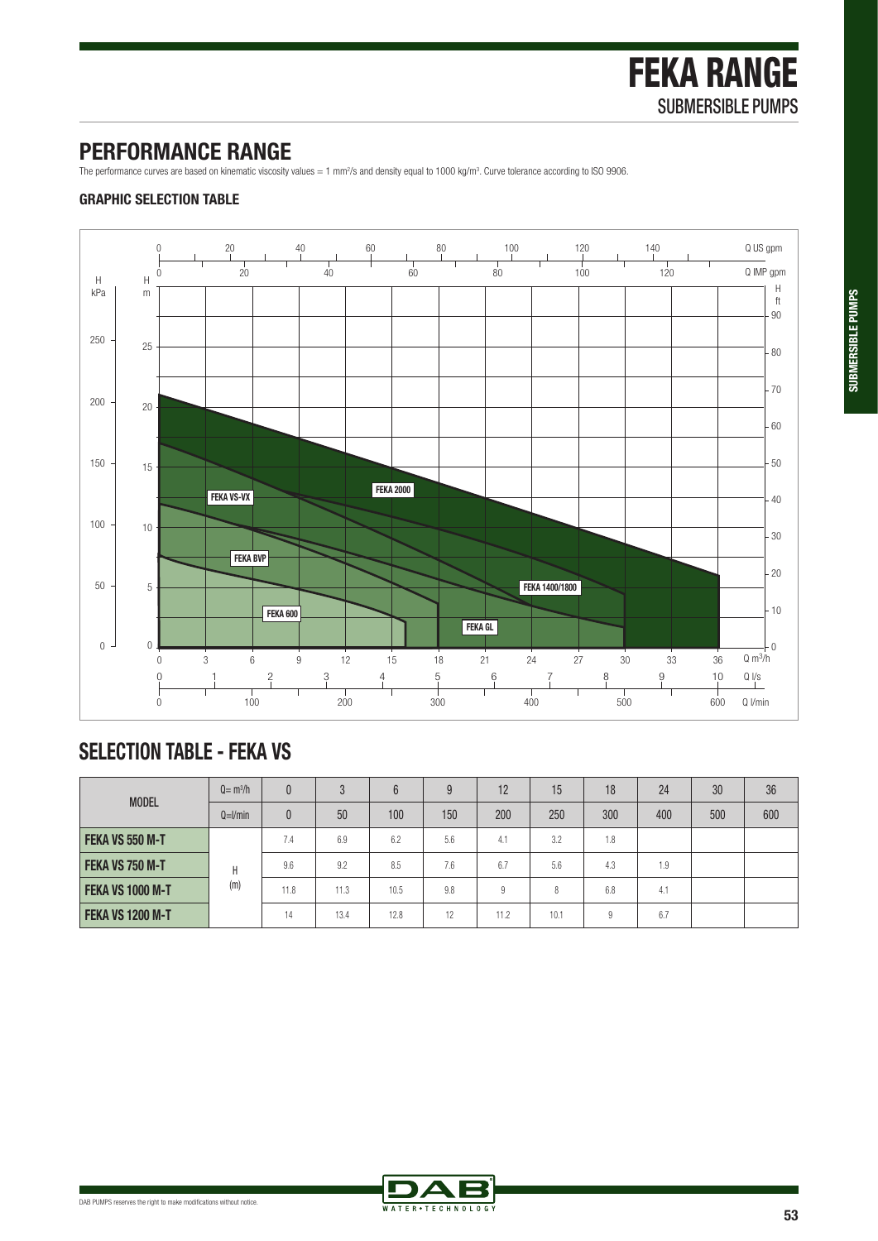## **PERFORMANCE RANGE**

The performance curves are based on kinematic viscosity values = 1 mm<sup>2</sup>/s and density equal to 1000 kg/m<sup>3</sup>. Curve tolerance according to ISO 9906.

### **GRAPHIC SELECTION TABLE**



# **SELECTION TABLE - FEKA VS**

| <b>MODEL</b>            | $Q = m^3/h$ | $\overline{0}$ | 3    | 6    | 9   | 12   | 15   | 18  | 24  | 30  | 36  |
|-------------------------|-------------|----------------|------|------|-----|------|------|-----|-----|-----|-----|
|                         | $Q=1/min$   | $\theta$       | 50   | 100  | 150 | 200  | 250  | 300 | 400 | 500 | 600 |
| FEKA VS 550 M-T         | H<br>(m)    | 7.4            | 6.9  | 6.2  | 5.6 | 4.1  | 3.2  | 1.8 |     |     |     |
| FEKA VS 750 M-T         |             | 9.6            | 9.2  | 8.5  | 7.6 | 6.7  | 5.6  | 4.3 | 1.9 |     |     |
| <b>FEKA VS 1000 M-T</b> |             | 11.8           | 11.3 | 10.5 | 9.8 | 9    | 8    | 6.8 | 4.1 |     |     |
| <b>FEKA VS 1200 M-T</b> |             | 14             | 13.4 | 12.8 | 12  | 11.2 | 10.1 | 9   | 6.7 |     |     |